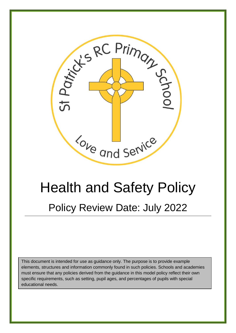

# Health and Safety Policy Policy Review Date: July 2022

This document is intended for use as guidance only. The purpose is to provide example elements, structures and information commonly found in such policies. Schools and academies must ensure that any policies derived from the guidance in this model policy reflect their own specific requirements, such as setting, pupil ages, and percentages of pupils with special educational needs.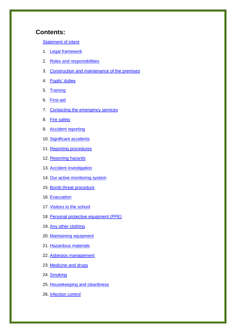# **Contents:**

[Statement of intent](#page-3-0)

- 1. [Legal framework](#page-4-0)
- 2. [Roles and responsibilities](#page-5-0)
- 3. Construction [and maintenance of the premises](#page-8-0)
- 4. [Pupils' duties](#page-9-0)
- 5. [Training](#page-9-0)
- 6. [First-aid](#page-11-0)
- 7. [Contacting the emergency services](#page-11-1)
- 8. [Fire safety](#page-12-0)
- 9. [Accident reporting](#page-12-1)
- 10. [Significant accidents](#page-12-2)
- 11. Reporting procedures
- 12. [Reporting hazards](#page-14-0)
- 13. [Accident investigation](#page-14-1)
- 14. [Our active monitoring system](#page-15-0)
- 15. [Bomb threat procedure](#page-15-1)
- 16. [Evacuation](#page-16-0)
- 17. [Visitors to the school](#page-17-0)
- 18. [Personal protective equipment \(PPE\)](#page-17-1)
- 19. [Any other clothing](#page-19-0)
- 20. [Maintaining equipment](#page-19-0)
- 21. [Hazardous materials](#page-19-1)
- 22. [Asbestos management](#page-20-0)
- 23. [Medicine and drugs](#page-20-1)
- 24. [Smoking](#page-21-0)
- 25. [Housekeeping and cleanliness](#page-21-1)
- 26. [Infection control](#page-21-2)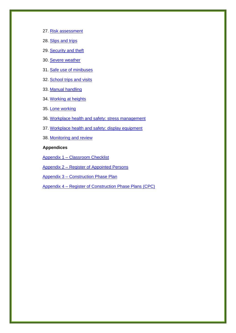- 27. [Risk assessment](#page-23-0)
- 28. [Slips and trips](#page-23-1)
- 29. [Security and theft](#page-24-0)
- 30. [Severe weather](#page-24-1)
- 31. [Safe use of minibuses](#page-25-0)
- 32. [School trips and visits](#page-25-0)
- 33. [Manual handling](#page-25-1)
- 34. [Working at heights](#page-25-2)
- 35. [Lone working](#page-25-3)
- 36. [Workplace health and safety: stress management](#page-25-4)
- 37. Workplace health and safety: display equipment
- 38. [Monitoring and review](#page-26-1)

#### **Appendices**

Appendix 1 – [Classroom Checklist](#page-27-0)

Appendix 2 – [Register of Appointed Persons](#page-28-0)

Appendix 3 – [Construction Phase Plan](#page-29-0)

Appendix 4 – [Register of Construction Phase Plans \(CPC\)](#page-33-0)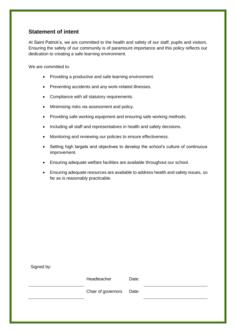# <span id="page-3-0"></span>**Statement of intent**

At Saint Patrick's, we are committed to the health and safety of our staff, pupils and visitors. Ensuring the safety of our community is of paramount importance and this policy reflects our dedication to creating a safe learning environment.

We are committed to:

- Providing a productive and safe learning environment.
- Preventing accidents and any work-related illnesses.
- Compliance with all statutory requirements.
- Minimising risks via assessment and policy.
- Providing safe working equipment and ensuring safe working methods.
- Including all staff and representatives in health and safety decisions.
- Monitoring and reviewing our policies to ensure effectiveness.
- Setting high targets and objectives to develop the school's culture of continuous improvement.
- Ensuring adequate welfare facilities are available throughout our school.
- Ensuring adequate resources are available to address health and safety issues, so far as is reasonably practicable.

| Signed by: |                    |       |  |
|------------|--------------------|-------|--|
|            | Headteacher        | Date: |  |
|            | Chair of governors | Date: |  |
|            |                    |       |  |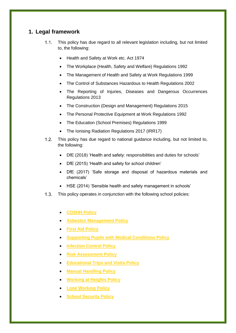# <span id="page-4-0"></span>**1. Legal framework**

- $1.1.$ This policy has due regard to all relevant legislation including, but not limited to, the following:
	- Health and Safety at Work etc. Act 1974
	- The Workplace (Health, Safety and Welfare) Regulations 1992
	- The Management of Health and Safety at Work Regulations 1999
	- The Control of Substances Hazardous to Health Regulations 2002
	- The Reporting of Injuries, Diseases and Dangerous Occurrences Regulations 2013
	- The Construction (Design and Management) Regulations 2015
	- The Personal Protective Equipment at Work Regulations 1992
	- The Education (School Premises) Regulations 1999
	- The Ionising Radiation Regulations 2017 (IRR17)
- $1.2.$ This policy has due regard to national guidance including, but not limited to, the following:
	- DfE (2018) 'Health and safety: responsibilities and duties for schools'
	- DfE (2015) 'Health and safety for school children'
	- DfE (2017) 'Safe storage and disposal of hazardous materials and chemicals'
	- HSE (2014) 'Sensible health and safety management in schools'
- $1.3<sub>1</sub>$ This policy operates in conjunction with the following school policies:
	- **COSHH Policy**
	- **Asbestos Management Policy**
	- **First Aid Policy**
	- **Supporting Pupils with Medical Conditions Policy**
	- **Infection Control Policy**
	- **Risk Assessment Policy**
	- **Educational Trips and Visits Policy**
	- **Manual Handling Policy**
	- **Working at Heights Policy**
	- **Lone Working Policy**
	- **School Security Policy**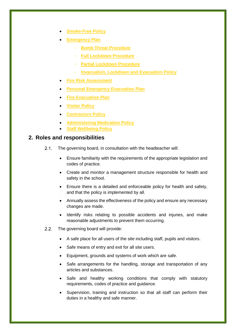- **Smoke-Free Policy**
- **Emergency Plan**
	- **Bomb Threat Procedure**
	- **Full Lockdown Procedure**
	- **Partial Lockdown Procedure**
	- **Invacuation, Lockdown and Evacuation Policy**
- **Fire Risk Assessment**
- **Personal Emergency Evacuation Plan**
- **Fire Evacuation Plan**
- **Visitor Policy**
- **Contractors Policy**
- **Administering Medication Policy**
- **Staff Wellbeing Policy**

# <span id="page-5-0"></span>**2. Roles and responsibilities**

- $2.1.$ The governing board, in consultation with the headteacher will:
	- Ensure familiarity with the requirements of the appropriate legislation and codes of practice.
	- Create and monitor a management structure responsible for health and safety in the school.
	- Ensure there is a detailed and enforceable policy for health and safety, and that the policy is implemented by all.
	- Annually assess the effectiveness of the policy and ensure any necessary changes are made.
	- Identify risks relating to possible accidents and injuries, and make reasonable adjustments to prevent them occurring.
- $2.2.$ The governing board will provide:
	- A safe place for all users of the site including staff, pupils and visitors.
	- Safe means of entry and exit for all site users.
	- Equipment, grounds and systems of work which are safe.
	- Safe arrangements for the handling, storage and transportation of any articles and substances.
	- Safe and healthy working conditions that comply with statutory requirements, codes of practice and guidance.
	- Supervision, training and instruction so that all staff can perform their duties in a healthy and safe manner.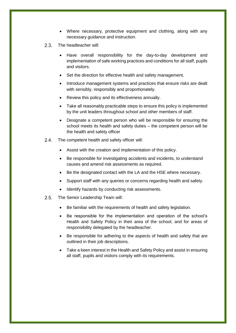- Where necessary, protective equipment and clothing, along with any necessary guidance and instruction.
- $2.3.$ The headteacher will:
	- Have overall responsibility for the day-to-day development and implementation of safe working practices and conditions for all staff, pupils and visitors.
	- Set the direction for effective health and safety management.
	- Introduce management systems and practices that ensure risks are dealt with sensibly, responsibly and proportionately.
	- Review this policy and its effectiveness annually.
	- Take all reasonably practicable steps to ensure this policy is implemented by the unit leaders throughout school and other members of staff.
	- Designate a competent person who will be responsible for ensuring the school meets its health and safety duties – the competent person will be the health and safety officer
- $2.4.$ The competent health and safety officer will:
	- Assist with the creation and implementation of this policy.
	- Be responsible for investigating accidents and incidents, to understand causes and amend risk assessments as required.
	- Be the designated contact with the LA and the HSE where necessary.
	- Support staff with any queries or concerns regarding health and safety.
	- Identify hazards by conducting risk assessments.
- $2.5$ The Senior Leadership Team will:
	- Be familiar with the requirements of health and safety legislation.
	- Be responsible for the implementation and operation of the school's Health and Safety Policy in their area of the school, and for areas of responsibility delegated by the headteacher.
	- Be responsible for adhering to the aspects of health and safety that are outlined in their job descriptions.
	- Take a keen interest in the Health and Safety Policy and assist in ensuring all staff, pupils and visitors comply with its requirements.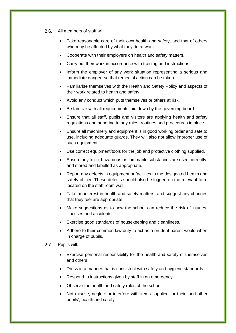- $2.6.$ All members of staff will:
	- Take reasonable care of their own health and safety, and that of others who may be affected by what they do at work.
	- Cooperate with their employers on health and safety matters.
	- Carry out their work in accordance with training and instructions.
	- Inform the employer of any work situation representing a serious and immediate danger, so that remedial action can be taken.
	- Familiarise themselves with the Health and Safety Policy and aspects of their work related to health and safety.
	- Avoid any conduct which puts themselves or others at risk.
	- Be familiar with all requirements laid down by the governing board.
	- Ensure that all staff, pupils and visitors are applying health and safety regulations and adhering to any rules, routines and procedures in place.
	- Ensure all machinery and equipment is in good working order and safe to use, including adequate guards. They will also not allow improper use of such equipment.
	- Use correct equipment/tools for the job and protective clothing supplied.
	- Ensure any toxic, hazardous or flammable substances are used correctly, and stored and labelled as appropriate.
	- Report any defects in equipment or facilities to the designated health and safety officer. These defects should also be logged on the relevant form located on the staff room wall.
	- Take an interest in health and safety matters, and suggest any changes that they feel are appropriate.
	- Make suggestions as to how the school can reduce the risk of injuries, illnesses and accidents.
	- Exercise good standards of housekeeping and cleanliness.
	- Adhere to their common law duty to act as a prudent parent would when in charge of pupils.
- $2.7.$ Pupils will:
	- Exercise personal responsibility for the health and safety of themselves and others.
	- Dress in a manner that is consistent with safety and hygiene standards.
	- Respond to instructions given by staff in an emergency.
	- Observe the health and safety rules of the school.
	- Not misuse, neglect or interfere with items supplied for their, and other pupils', health and safety.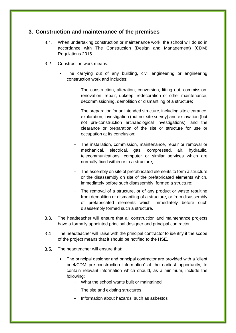# <span id="page-8-0"></span>**3. Construction and maintenance of the premises**

- $3.1.$ When undertaking construction or maintenance work, the school will do so in accordance with The Construction (Design and Management) (CDM) Regulations 2015.
- $3.2.$ Construction work means:
	- The carrying out of any building, civil engineering or engineering construction work and includes:
		- The construction, alteration, conversion, fitting out, commission, renovation, repair, upkeep, redecoration or other maintenance, decommissioning, demolition or dismantling of a structure;
		- The preparation for an intended structure, including site clearance, exploration, investigation (but not site survey) and excavation (but not pre-construction archaeological investigations), and the clearance or preparation of the site or structure for use or occupation at its conclusion;
		- The installation, commission, maintenance, repair or removal or mechanical, electrical, gas, compressed, air, hydraulic, telecommunications, computer or similar services which are normally fixed within or to a structure;
		- The assembly on site of prefabricated elements to form a structure or the disassembly on site of the prefabricated elements which, immediately before such disassembly, formed a structure;
		- The removal of a structure, or of any product or waste resulting from demolition or dismantling of a structure, or from disassembly of prefabricated elements which immediately before such disassembly formed such a structure.
- $3.3.$ The headteacher will ensure that all construction and maintenance projects have a formally appointed principal designer and principal contractor.
- $3.4.$ The headteacher will liaise with the principal contractor to identify if the scope of the project means that it should be notified to the HSE.
- $3.5.$ The headteacher will ensure that:
	- The principal designer and principal contractor are provided with a 'client brief/CDM pre-construction information' at the earliest opportunity, to contain relevant information which should, as a minimum, include the following:
		- What the school wants built or maintained
		- The site and existing structures
		- Information about hazards, such as asbestos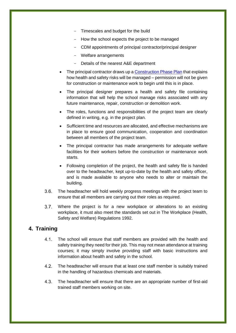- Timescales and budget for the build
- How the school expects the project to be managed
- CDM appointments of principal contractor/principal designer
- Welfare arrangements
- Details of the nearest A&E department
- The principal contractor draws up a [Construction Phase Plan](#page-29-0) that explains how health and safety risks will be managed – permission will not be given for construction or maintenance work to begin until this is in place.
- The principal designer prepares a health and safety file containing information that will help the school manage risks associated with any future maintenance, repair, construction or demolition work.
- The roles, functions and responsibilities of the project team are clearly defined in writing, e.g. in the project plan.
- Sufficient time and resources are allocated, and effective mechanisms are in place to ensure good communication, cooperation and coordination between all members of the project team.
- The principal contractor has made arrangements for adequate welfare facilities for their workers before the construction or maintenance work starts.
- Following completion of the project, the health and safety file is handed over to the headteacher, kept up-to-date by the health and safety officer, and is made available to anyone who needs to alter or maintain the building.
- $3.6.$ The headteacher will hold weekly progress meetings with the project team to ensure that all members are carrying out their roles as required.
- $3.7$ Where the project is for a new workplace or alterations to an existing workplace, it must also meet the standards set out in The Workplace (Health, Safety and Welfare) Regulations 1992.

# <span id="page-9-0"></span>**4. Training**

- $4.1.$ The school will ensure that staff members are provided with the health and safety training they need for their job. This may not mean attendance at training courses; it may simply involve providing staff with basic instructions and information about health and safety in the school.
- $4.2.$ The headteacher will ensure that at least one staff member is suitably trained in the handling of hazardous chemicals and materials.
- $4.3.$ The headteacher will ensure that there are an appropriate number of first-aid trained staff members working on site.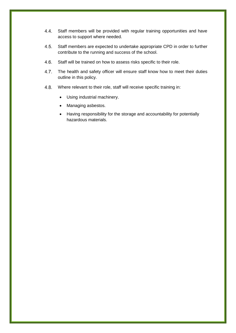- $4.4.$ Staff members will be provided with regular training opportunities and have access to support where needed.
- $4.5.$ Staff members are expected to undertake appropriate CPD in order to further contribute to the running and success of the school.
- $4.6.$ Staff will be trained on how to assess risks specific to their role.
- $4.7$ The health and safety officer will ensure staff know how to meet their duties outline in this policy.
- 4.8. Where relevant to their role, staff will receive specific training in:
	- Using industrial machinery.
	- Managing asbestos.
	- Having responsibility for the storage and accountability for potentially hazardous materials.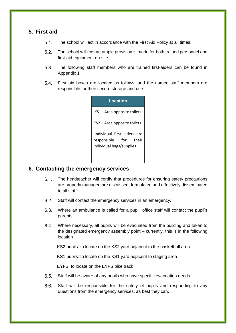# <span id="page-11-0"></span>**5. First aid**

- $51$ The school will act in accordance with the First Aid Policy at all times.
- $5.2$ The school will ensure ample provision is made for both trained personnel and first-aid equipment on-site.
- $5.3.$ The following staff members who are trained first-aiders can be found in Appendix 1
- $5.4.$ First aid boxes are located as follows, and the named staff members are responsible for their secure storage and use:

| Location                                                                         |
|----------------------------------------------------------------------------------|
| KS1 - Area opposite toilets                                                      |
| KS2 – Area opposite toilets                                                      |
| Individual first aiders are<br>responsible for their<br>individual bags/supplies |

#### <span id="page-11-1"></span>**6. Contacting the emergency services**

- $6.1.$ The headteacher will certify that procedures for ensuring safety precautions are properly managed are discussed, formulated and effectively disseminated to all staff.
- $6.2.$ Staff will contact the emergency services in an emergency.
- $6.3.$ Where an ambulance is called for a pupil, office staff will contact the pupil's parents.
- $6.4.$ Where necessary, all pupils will be evacuated from the building and taken to the designated emergency assembly point – currently, this is in the following location

KS2 pupils: to locate on the KS2 yard adjacent to the basketball area

KS1 pupils: to locate on the KS1 yard adjacent to staging area

EYFS: to locate on the EYFS bike track

- $6.5.$ Staff will be aware of any pupils who have specific evacuation needs.
- $6.6.$ Staff will be responsible for the safety of pupils and responding to any questions from the emergency services, as best they can.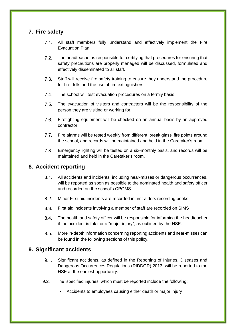# <span id="page-12-0"></span>**7. Fire safety**

- $7.1$ All staff members fully understand and effectively implement the Fire Evacuation Plan.
- $7.2$ The headteacher is responsible for certifying that procedures for ensuring that safety precautions are properly managed will be discussed, formulated and effectively disseminated to all staff.
- $7.3$ Staff will receive fire safety training to ensure they understand the procedure for fire drills and the use of fire extinguishers.
- $7.4$ The school will test evacuation procedures on a termly basis.
- $7.5$ The evacuation of visitors and contractors will be the responsibility of the person they are visiting or working for.
- $7.6$ Firefighting equipment will be checked on an annual basis by an approved contractor.
- $7.7.$ Fire alarms will be tested weekly from different 'break glass' fire points around the school, and records will be maintained and held in the Caretaker's room.
- $7.8.$ Emergency lighting will be tested on a six-monthly basis, and records will be maintained and held in the Caretaker's room.

# <span id="page-12-1"></span>**8. Accident reporting**

- $8.1.$ All accidents and incidents, including near-misses or dangerous occurrences, will be reported as soon as possible to the nominated health and safety officer and recorded on the school's CPOMS.
- $8.2.$ Minor First aid incidents are recorded in first-aiders recording books
- $8.3.$ First aid incidents involving a member of staff are recorded on SIMS
- $8.4.$ The health and safety officer will be responsible for informing the headteacher if the accident is fatal or a "major injury", as outlined by the HSE.
- $8.5.$ More in-depth information concerning reporting accidents and near-misses can be found in the following sections of this policy.

# <span id="page-12-2"></span>**9. Significant accidents**

- $9.1$ Significant accidents, as defined in the Reporting of Injuries, Diseases and Dangerous Occurrences Regulations (RIDDOR) 2013, will be reported to the HSE at the earliest opportunity.
- 9.2. The 'specified injuries' which must be reported include the following:
	- Accidents to employees causing either death or major injury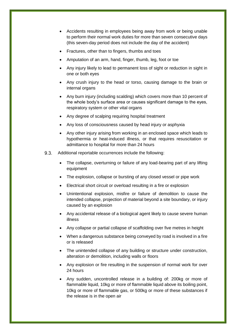- Accidents resulting in employees being away from work or being unable to perform their normal work duties for more than seven consecutive days (this seven-day period does not include the day of the accident)
- Fractures, other than to fingers, thumbs and toes
- Amputation of an arm, hand, finger, thumb, leg, foot or toe
- Any injury likely to lead to permanent loss of sight or reduction in sight in one or both eyes
- Any crush injury to the head or torso, causing damage to the brain or internal organs
- Any burn injury (including scalding) which covers more than 10 percent of the whole body's surface area or causes significant damage to the eyes, respiratory system or other vital organs
- Any degree of scalping requiring hospital treatment
- Any loss of consciousness caused by head injury or asphyxia
- Any other injury arising from working in an enclosed space which leads to hypothermia or heat-induced illness, or that requires resuscitation or admittance to hospital for more than 24 hours
- $9.3.$ Additional reportable occurrences include the following:
	- The collapse, overturning or failure of any load-bearing part of any lifting equipment
	- The explosion, collapse or bursting of any closed vessel or pipe work
	- Electrical short circuit or overload resulting in a fire or explosion
	- Unintentional explosion, misfire or failure of demolition to cause the intended collapse, projection of material beyond a site boundary, or injury caused by an explosion
	- Any accidental release of a biological agent likely to cause severe human illness
	- Any collapse or partial collapse of scaffolding over five metres in height
	- When a dangerous substance being conveyed by road is involved in a fire or is released
	- The unintended collapse of any building or structure under construction, alteration or demolition, including walls or floors
	- Any explosion or fire resulting in the suspension of normal work for over 24 hours
	- Any sudden, uncontrolled release in a building of: 200kg or more of flammable liquid, 10kg or more of flammable liquid above its boiling point, 10kg or more of flammable gas, or 500kg or more of these substances if the release is in the open air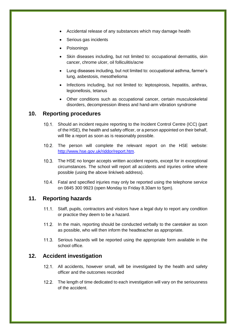- Accidental release of any substances which may damage health
- Serious gas incidents
- Poisonings
- Skin diseases including, but not limited to: occupational dermatitis, skin cancer, chrome ulcer, oil folliculitis/acne
- Lung diseases including, but not limited to: occupational asthma, farmer's lung, asbestosis, mesothelioma
- Infections including, but not limited to: leptospirosis, hepatitis, anthrax, legionellosis, tetanus
- Other conditions such as occupational cancer, certain musculoskeletal disorders, decompression illness and hand-arm vibration syndrome

#### **10. Reporting procedures**

- Should an incident require reporting to the Incident Control Centre (ICC) (part of the HSE), the health and safety officer, or a person appointed on their behalf, will file a report as soon as is reasonably possible.
- 10.2. The person will complete the relevant report on the HSE website: [http://www.hse.gov.uk/riddor/report.htm.](http://www.hse.gov.uk/riddor/report.htm)
- 10.3. The HSE no longer accepts written accident reports, except for in exceptional circumstances. The school will report all accidents and injuries online where possible (using the above link/web address).
- Fatal and specified injuries may only be reported using the telephone service on 0845 300 9923 (open Monday to Friday 8.30am to 5pm).

#### <span id="page-14-0"></span>**11. Reporting hazards**

- 11.1. Staff, pupils, contractors and visitors have a legal duty to report any condition or practice they deem to be a hazard.
- 11.2. In the main, reporting should be conducted verbally to the caretaker as soon as possible, who will then inform the headteacher as appropriate.
- 11.3. Serious hazards will be reported using the appropriate form available in the school office.

#### <span id="page-14-1"></span>**12. Accident investigation**

- 12.1. All accidents, however small, will be investigated by the health and safety officer and the outcomes recorded
- 12.2. The length of time dedicated to each investigation will vary on the seriousness of the accident.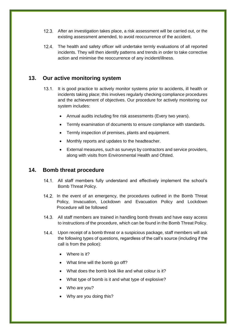- After an investigation takes place, a risk assessment will be carried out, or the existing assessment amended, to avoid reoccurrence of the accident.
- The health and safety officer will undertake termly evaluations of all reported incidents. They will then identify patterns and trends in order to take corrective action and minimise the reoccurrence of any incident/illness.

# <span id="page-15-0"></span>**13. Our active monitoring system**

- 13.1. It is good practice to actively monitor systems prior to accidents, ill health or incidents taking place; this involves regularly checking compliance procedures and the achievement of objectives. Our procedure for actively monitoring our system includes:
	- Annual audits including fire risk assessments (Every two years).
	- Termly examination of documents to ensure compliance with standards.
	- Termly inspection of premises, plants and equipment.
	- Monthly reports and updates to the headteacher.
	- External measures, such as surveys by contractors and service providers, along with visits from Environmental Health and Ofsted.

# <span id="page-15-1"></span>**14. Bomb threat procedure**

- 14.1. All staff members fully understand and effectively implement the school's Bomb Threat Policy.
- 14.2. In the event of an emergency, the procedures outlined in the Bomb Threat Policy, Invacuation, Lockdown and Evacuation Policy and Lockdown Procedure will be followed
- 14.3. All staff members are trained in handling bomb threats and have easy access to instructions of the procedure, which can be found in the Bomb Threat Policy.
- 14.4. Upon receipt of a bomb threat or a suspicious package, staff members will ask the following types of questions, regardless of the call's source (including if the call is from the police):
	- Where is it?
	- What time will the bomb go off?
	- What does the bomb look like and what colour is it?
	- What type of bomb is it and what type of explosive?
	- Who are you?
	- Why are you doing this?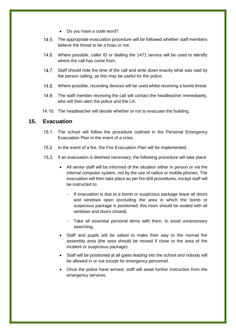- Do you have a code word?
- 14.5. The appropriate evacuation procedure will be followed whether staff members believe the threat to be a hoax or not.
- Where possible, caller ID or dialling the 1471 service will be used to identify where the call has come from.
- 14.7. Staff should note the time of the call and write down exactly what was said by the person calling, as this may be useful for the police.
- 14.8. Where possible, recording devices will be used whilst receiving a bomb threat.
- 14.9. The staff member receiving the call will contact the headteacher immediately, who will then alert the police and the LA.
- 14.10. The headteacher will decide whether or not to evacuate the building.

#### <span id="page-16-0"></span>**15. Evacuation**

- 15.1. The school will follow the procedure outlined in the Personal Emergency Evacuation Plan in the event of a crisis.
- 15.2. In the event of a fire, the Fire Evacuation Plan will be implemented.
- If an evacuation is deemed necessary, the following procedure will take place:
	- All senior staff will be informed of the situation either in person or via the internal computer system, not by the use of radios or mobile phones. The evacuation will then take place as per fire drill procedures, except staff will be instructed to:
		- If evacuation is due to a bomb or suspicious package leave all doors and windows open (excluding the area in which the bomb or suspicious package is positioned; this room should be sealed with all windows and doors closed).
		- Take all essential personal items with them, to avoid unnecessary searching.
	- Staff and pupils will be asked to make their way to the normal fire assembly area (the area should be moved if close to the area of the incident or suspicious package).
	- Staff will be positioned at all gates leading into the school and nobody will be allowed in or out except for emergency personnel.
	- Once the police have arrived, staff will await further instruction from the emergency services.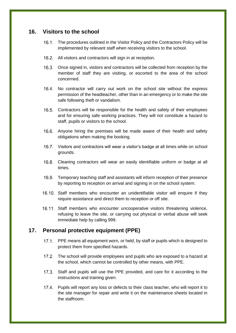#### <span id="page-17-0"></span>**16. Visitors to the school**

- The procedures outlined in the Visitor Policy and the Contractors Policy will be implemented by relevant staff when receiving visitors to the school.
- 16.2. All visitors and contractors will sign in at reception.
- 16.3. Once signed in, visitors and contractors will be collected from reception by the member of staff they are visiting, or escorted to the area of the school concerned.
- 16.4. No contractor will carry out work on the school site without the express permission of the headteacher, other than in an emergency or to make the site safe following theft or vandalism.
- 16.5. Contractors will be responsible for the health and safety of their employees and for ensuring safe working practices. They will not constitute a hazard to staff, pupils or visitors to the school.
- 16.6. Anyone hiring the premises will be made aware of their health and safety obligations when making the booking.
- Visitors and contractors will wear a visitor's badge at all times while on school grounds.
- 16.8. Cleaning contractors will wear an easily identifiable uniform or badge at all times.
- Temporary teaching staff and assistants will inform reception of their presence by reporting to reception on arrival and signing in on the school system.
- 16.10. Staff members who encounter an unidentifiable visitor will enquire if they require assistance and direct them to reception or off site.
- 16.11. Staff members who encounter uncooperative visitors threatening violence, refusing to leave the site, or carrying out physical or verbal abuse will seek immediate help by calling 999.

# <span id="page-17-1"></span>**17. Personal protective equipment (PPE)**

- 17.1. PPE means all equipment worn, or held, by staff or pupils which is designed to protect them from specified hazards.
- 17.2. The school will provide employees and pupils who are exposed to a hazard at the school, which cannot be controlled by other means, with PPE.
- 17.3. Staff and pupils will use the PPE provided, and care for it according to the instructions and training given.
- 17.4. Pupils will report any loss or defects to their class teacher, who will report it to the site manager for repair and write it on the maintenance sheets located in the staffroom.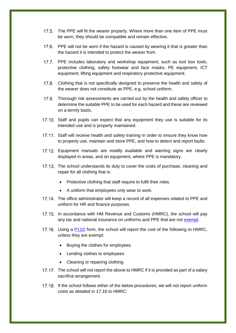- 17.5. The PPE will fit the wearer properly. Where more than one item of PPE must be worn, they should be compatible and remain effective.
- 17.6. PPE will not be worn if the hazard is caused by wearing it that is greater than the hazard it is intended to protect the wearer from.
- 17.7. PPE includes laboratory and workshop equipment, such as tool box tools, protective clothing, safety footwear and face masks, PE equipment, ICT equipment, lifting equipment and respiratory protective equipment.
- 17.8. Clothing that is not specifically designed to preserve the health and safety of the wearer does not constitute as PPE, e.g. school uniform.
- 17.9. Thorough risk assessments are carried out by the health and safety officer to determine the suitable PPE to be used for each hazard and these are reviewed on a termly basis.
- 17.10. Staff and pupils can expect that any equipment they use is suitable for its intended use and is properly maintained.
- 17.11. Staff will receive health and safety training in order to ensure they know how to properly use, maintain and store PPE, and how to detect and report faults.
- Equipment manuals are readily available and warning signs are clearly displayed in areas, and on equipment, where PPE is mandatory.
- 17.13. The school understands its duty to cover the costs of purchase, cleaning and repair for all clothing that is:
	- Protective clothing that staff require to fulfil their roles.
	- A uniform that employees only wear to work.
- 17.14. The office administrator will keep a record of all expenses related to PPE and uniform for HR and finance purposes.
- 17.15. In accordance with HM Revenue and Customs (HMRC), the school will pay any tax and national insurance on uniforms and PPE that are not [exempt.](https://www.gov.uk/employer-reporting-expenses-benefits/dispensations)
- 17.16. Using a [P11D](https://www.gov.uk/government/publications/paye-end-of-year-expenses-and-benefits-online-form) form, the school will report the cost of the following to HMRC, unless they are exempt:
	- Buying the clothes for employees
	- Lending clothes to employees
	- Cleaning or repairing clothing
- 17.17. The school will not report the above to HMRC if it is provided as part of a salary sacrifice arrangement.
- 17.18. If the school follows either of the below procedures, we will not report uniform costs as detailed in 17.16 to HMRC: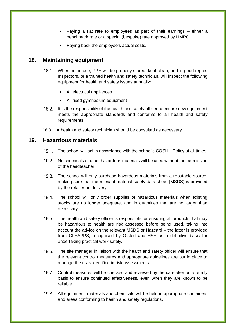- Paying a flat rate to employees as part of their earnings either a benchmark rate or a special (bespoke) rate approved by HMRC.
- Paying back the employee's actual costs.

# <span id="page-19-0"></span>**18. Maintaining equipment**

- 18.1. When not in use, PPE will be properly stored, kept clean, and in good repair. Inspectors, or a trained health and safety technician, will inspect the following equipment for health and safety issues annually:
	- All electrical appliances
	- All fixed gymnasium equipment
- 18.2. It is the responsibility of the health and safety officer to ensure new equipment meets the appropriate standards and conforms to all health and safety requirements.
- 18.3. A health and safety technician should be consulted as necessary.

#### <span id="page-19-1"></span>**19. Hazardous materials**

- 19.1. The school will act in accordance with the school's COSHH Policy at all times.
- 19.2. No chemicals or other hazardous materials will be used without the permission of the headteacher.
- 19.3. The school will only purchase hazardous materials from a reputable source, making sure that the relevant material safety data sheet (MSDS) is provided by the retailer on delivery.
- The school will only order supplies of hazardous materials when existing stocks are no longer adequate, and in quantities that are no larger than necessary.
- 19.5. The health and safety officer is responsible for ensuring all products that may be hazardous to health are risk assessed before being used, taking into account the advice on the relevant MSDS or Hazcard – the latter is provided from CLEAPPS, recognised by Ofsted and HSE as a definitive basis for undertaking practical work safely.
- 19.6. The site manager in liaison with the health and safety officer will ensure that the relevant control measures and appropriate guidelines are put in place to manage the risks identified in risk assessments.
- 19.7. Control measures will be checked and reviewed by the caretaker on a termly basis to ensure continued effectiveness, even when they are known to be reliable.
- 19.8. All equipment, materials and chemicals will be held in appropriate containers and areas conforming to health and safety regulations.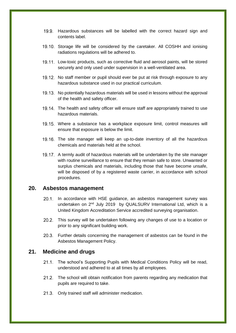- 19.9. Hazardous substances will be labelled with the correct hazard sign and contents label.
- 19.10. Storage life will be considered by the caretaker. All COSHH and ionising radiations regulations will be adhered to.
- 19.11. Low-toxic products, such as corrective fluid and aerosol paints, will be stored securely and only used under supervision in a well-ventilated area.
- 19.12. No staff member or pupil should ever be put at risk through exposure to any hazardous substance used in our practical curriculum.
- 19.13. No potentially hazardous materials will be used in lessons without the approval of the health and safety officer.
- 19.14. The health and safety officer will ensure staff are appropriately trained to use hazardous materials.
- 19.15. Where a substance has a workplace exposure limit, control measures will ensure that exposure is below the limit.
- 19.16. The site manager will keep an up-to-date inventory of all the hazardous chemicals and materials held at the school.
- 19.17. A termly audit of hazardous materials will be undertaken by the site manager with routine surveillance to ensure that they remain safe to store. Unwanted or surplus chemicals and materials, including those that have become unsafe, will be disposed of by a registered waste carrier, in accordance with school procedures.

#### <span id="page-20-0"></span>**20. Asbestos management**

- 20.1. In accordance with HSE quidance, an asbestos management survey was undertaken on 2<sup>nd</sup> July 2019 by QUALSURV International Ltd, which is a United Kingdom Accreditation Service accredited surveying organisation.
- This survey will be undertaken following any changes of use to a location or prior to any significant building work.
- 20.3. Further details concerning the management of asbestos can be found in the Asbestos Management Policy.

#### <span id="page-20-1"></span>**21. Medicine and drugs**

- 21.1. The school's Supporting Pupils with Medical Conditions Policy will be read, understood and adhered to at all times by all employees.
- 21.2. The school will obtain notification from parents regarding any medication that pupils are required to take.
- 21.3. Only trained staff will administer medication.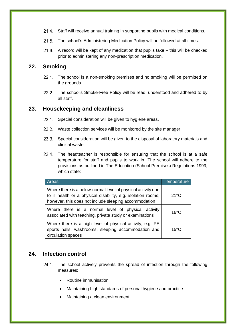- 21.4. Staff will receive annual training in supporting pupils with medical conditions.
- 21.5. The school's Administering Medication Policy will be followed at all times.
- A record will be kept of any medication that pupils take this will be checked prior to administering any non-prescription medication.

# <span id="page-21-0"></span>**22. Smoking**

- 22.1. The school is a non-smoking premises and no smoking will be permitted on the grounds.
- 22.2. The school's Smoke-Free Policy will be read, understood and adhered to by all staff.

#### <span id="page-21-1"></span>**23. Housekeeping and cleanliness**

- 23.1. Special consideration will be given to hygiene areas.
- 23.2. Waste collection services will be monitored by the site manager.
- 23.3. Special consideration will be given to the disposal of laboratory materials and clinical waste.
- 23.4. The headteacher is responsible for ensuring that the school is at a safe temperature for staff and pupils to work in. The school will adhere to the provisions as outlined in The Education (School Premises) Regulations 1999, which state:

| Areas                                                                                                                                                                                  | Temperature    |
|----------------------------------------------------------------------------------------------------------------------------------------------------------------------------------------|----------------|
| Where there is a below-normal level of physical activity due<br>to ill health or a physical disability, e.g. isolation rooms;<br>however, this does not include sleeping accommodation | $21^{\circ}$ C |
| Where there is a normal level of physical activity<br>associated with teaching, private study or examinations                                                                          | $16^{\circ}$ C |
| Where there is a high level of physical activity, e.g. PE<br>sports halls, washrooms, sleeping accommodation and<br>circulation spaces                                                 | $15^{\circ}$ C |

#### <span id="page-21-2"></span>**24. Infection control**

- 24.1. The school actively prevents the spread of infection through the following measures:
	- Routine immunisation
	- Maintaining high standards of personal hygiene and practice
	- Maintaining a clean environment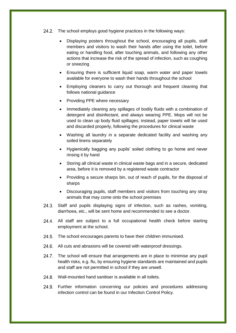- 24.2. The school employs good hygiene practices in the following ways:
	- Displaying posters throughout the school, encouraging all pupils, staff members and visitors to wash their hands after using the toilet, before eating or handling food, after touching animals, and following any other actions that increase the risk of the spread of infection, such as coughing or sneezing
	- Ensuring there is sufficient liquid soap, warm water and paper towels available for everyone to wash their hands throughout the school
	- Employing cleaners to carry out thorough and frequent cleaning that follows national guidance
	- Providing PPE where necessary
	- Immediately cleaning any spillages of bodily fluids with a combination of detergent and disinfectant, and always wearing PPE. Mops will not be used to clean up body fluid spillages; instead, paper towels will be used and discarded properly, following the procedures for clinical waste
	- Washing all laundry in a separate dedicated facility and washing any soiled linens separately
	- Hygienically bagging any pupils' soiled clothing to go home and never rinsing it by hand
	- Storing all clinical waste in clinical waste bags and in a secure, dedicated area, before it is removed by a registered waste contractor
	- Providing a secure sharps bin, out of reach of pupils, for the disposal of sharps
	- Discouraging pupils, staff members and visitors from touching any stray animals that may come onto the school premises
- 24.3. Staff and pupils displaying signs of infection, such as rashes, vomiting, diarrhoea, etc., will be sent home and recommended to see a doctor.
- 24.4. All staff are subject to a full occupational health check before starting employment at the school.
- 24.5. The school encourages parents to have their children immunised.
- 24.6. All cuts and abrasions will be covered with waterproof dressings.
- 24.7. The school will ensure that arrangements are in place to minimise any pupil health risks, e.g. flu, by ensuring hygiene standards are maintained and pupils and staff are not permitted in school if they are unwell.
- 24.8. Wall-mounted hand sanitiser is available in all toilets.
- 24.9. Further information concerning our policies and procedures addressing infection control can be found in our Infection Control Policy.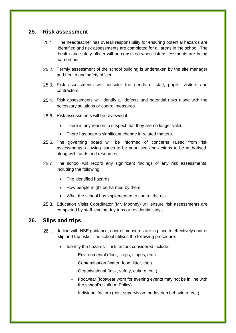#### <span id="page-23-0"></span>**25. Risk assessment**

- 25.1. The headteacher has overall responsibility for ensuring potential hazards are identified and risk assessments are completed for all areas in the school. The health and safety officer will be consulted when risk assessments are being carried out.
- 25.2. Termly assessment of the school building is undertaken by the site manager and health and safety officer.
- 25.3. Risk assessments will consider the needs of staff, pupils, visitors and contractors.
- 25.4. Risk assessments will identify all defects and potential risks along with the necessary solutions or control measures.
- 25.5 Risk assessments will be reviewed if
	- There is any reason to suspect that they are no longer valid.
	- There has been a significant change in related matters.
- 25.6. The governing board will be informed of concerns raised from risk assessments, allowing issues to be prioritised and actions to be authorised, along with funds and resources.
- 25.7. The school will record any significant findings of any risk assessments, including the following:
	- The identified hazards
	- How people might be harmed by them
	- What the school has implemented to control the risk
- 25.8. Education Visits Coordinator (Mr. Mooney) will ensure risk assessments are completed by staff leading day trips or residential stays.

#### <span id="page-23-1"></span>**26. Slips and trips**

- 26.1. In line with HSE guidance, control measures are in place to effectively control slip and trip risks. The school utilises the following procedure:
	- Identify the hazards risk factors considered include:
		- Environmental (floor, steps, slopes, etc.)
		- Contamination (water, food, litter, etc.)
		- Organisational (task, safety, culture, etc.)
		- Footwear (footwear worn for evening events may not be in line with the school's Uniform Policy)
		- Individual factors (rain, supervision, pedestrian behaviour, etc.)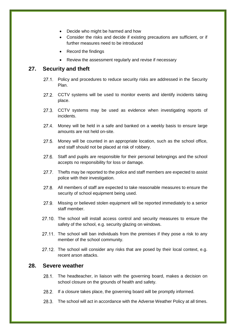- Decide who might be harmed and how
- Consider the risks and decide if existing precautions are sufficient, or if further measures need to be introduced
- Record the findings
- Review the assessment regularly and revise if necessary

#### <span id="page-24-0"></span>**27. Security and theft**

- 27.1. Policy and procedures to reduce security risks are addressed in the Security Plan.
- 27.2. CCTV systems will be used to monitor events and identify incidents taking place.
- 27.3. CCTV systems may be used as evidence when investigating reports of incidents.
- 27.4. Money will be held in a safe and banked on a weekly basis to ensure large amounts are not held on-site.
- 27.5. Money will be counted in an appropriate location, such as the school office, and staff should not be placed at risk of robbery.
- 27.6. Staff and pupils are responsible for their personal belongings and the school accepts no responsibility for loss or damage.
- 27.7. Thefts may be reported to the police and staff members are expected to assist police with their investigation.
- 27.8. All members of staff are expected to take reasonable measures to ensure the security of school equipment being used.
- 27.9. Missing or believed stolen equipment will be reported immediately to a senior staff member.
- 27.10. The school will install access control and security measures to ensure the safety of the school, e.g. security glazing on windows.
- 27.11. The school will ban individuals from the premises if they pose a risk to any member of the school community.
- 27.12. The school will consider any risks that are posed by their local context, e.g. recent arson attacks.

#### <span id="page-24-1"></span>**28. Severe weather**

- 28.1. The headteacher, in liaison with the governing board, makes a decision on school closure on the grounds of health and safety.
- 28.2. If a closure takes place, the governing board will be promptly informed.
- 28.3. The school will act in accordance with the Adverse Weather Policy at all times.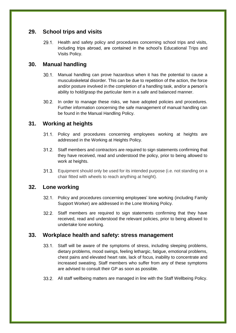# <span id="page-25-0"></span>**29. School trips and visits**

29.1. Health and safety policy and procedures concerning school trips and visits, including trips abroad, are contained in the school's Educational Trips and Visits Policy.

# <span id="page-25-1"></span>**30. Manual handling**

- Manual handling can prove hazardous when it has the potential to cause a musculoskeletal disorder. This can be due to repetition of the action, the force and/or posture involved in the completion of a handling task, and/or a person's ability to hold/grasp the particular item in a safe and balanced manner.
- 30.2. In order to manage these risks, we have adopted policies and procedures. Further information concerning the safe management of manual handling can be found in the Manual Handling Policy.

# <span id="page-25-2"></span>**31. Working at heights**

- 31.1. Policy and procedures concerning employees working at heights are addressed in the Working at Heights Policy.
- Staff members and contractors are required to sign statements confirming that they have received, read and understood the policy, prior to being allowed to work at heights.
- Equipment should only be used for its intended purpose (i.e. not standing on a chair fitted with wheels to reach anything at height).

# <span id="page-25-3"></span>**32. Lone working**

- 32.1. Policy and procedures concerning employees' lone working (including Family Support Worker) are addressed in the Lone Working Policy.
- 32.2. Staff members are required to sign statements confirming that they have received, read and understood the relevant policies, prior to being allowed to undertake lone working.

# <span id="page-25-4"></span>**33. Workplace health and safety: stress management**

- Staff will be aware of the symptoms of stress, including sleeping problems, dietary problems, mood swings, feeling lethargic, fatigue, emotional problems, chest pains and elevated heart rate, lack of focus, inability to concentrate and increased sweating. Staff members who suffer from any of these symptoms are advised to consult their GP as soon as possible.
- 33.2. All staff wellbeing matters are managed in line with the Staff Wellbeing Policy.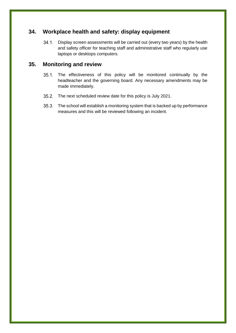# <span id="page-26-0"></span>**34. Workplace health and safety: display equipment**

34.1. Display screen assessments will be carried out (every two years) by the health and safety officer for teaching staff and administrative staff who regularly use laptops or desktops computers.

## <span id="page-26-1"></span>**35. Monitoring and review**

- 35.1. The effectiveness of this policy will be monitored continually by the headteacher and the governing board. Any necessary amendments may be made immediately.
- 35.2. The next scheduled review date for this policy is July 2021.
- 35.3. The school will establish a monitoring system that is backed up by performance measures and this will be reviewed following an incident.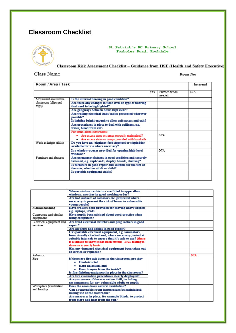# <span id="page-27-0"></span>**Classroom Checklist**



St Patrick's RC Primary School Foxholes Road, Rochdale

Classroom Risk Assessment Checklist - Guidance from HSE (Health and Safety Executive)

Class Name

Room No:

| Room / Area / Task             |                                                                                                                                         |     | Internal                 |     |
|--------------------------------|-----------------------------------------------------------------------------------------------------------------------------------------|-----|--------------------------|-----|
|                                |                                                                                                                                         | Yes | Further action<br>needed | N/A |
| Movement around the            | Is the internal flooring in good condition?                                                                                             |     |                          |     |
| classroom (slips and<br>trips) | Are there any changes in floor level or type of flooring<br>that need to be highlighted?                                                |     |                          |     |
|                                | Are gangways between desks kept clear?                                                                                                  |     |                          |     |
|                                | Are trailing electrical leads/cables prevented wherever<br>possible?                                                                    |     |                          |     |
|                                | Is lighting bright enough to allow safe access and exit?                                                                                |     |                          |     |
|                                | Are procedures in place to deal with spillages, e.g.<br>water, blood from cuts                                                          |     |                          |     |
|                                | For stand-alone classrooms:<br>• Are access steps or ramps properly maintained?<br>• Are access stairs or ramps provided with handrails |     | N/A                      |     |
| Work at height (falls)         | Do you have an 'elephant-foot stepstool or stepladder<br>available for use where necessary?                                             |     |                          |     |
|                                | Is a window-opener provided for opening high-level<br>windows?                                                                          |     | N/A                      |     |
| Furniture and fixtures         | Are permanent fixtures in good condition and securely<br>fastened, e.g. cupboards, display boards, shelving?                            |     |                          |     |
|                                | Is furniture in good repair and suitable for the size of<br>the user, whether adult or child?                                           |     |                          |     |
|                                | Is portable equipment stable?                                                                                                           |     |                          |     |

|                                    | Where window restrictors are fitted to upper-floor<br>windows, are they in good working order? |  |     |
|------------------------------------|------------------------------------------------------------------------------------------------|--|-----|
|                                    | Are hot surfaces of radiators etc. protected where                                             |  |     |
|                                    | necessary to prevent the risk of burns to vulnerable                                           |  |     |
|                                    | voung people?                                                                                  |  |     |
| Manual handling                    | Have trolleys been provided for moving heavy objects<br>e.g. laptops, iPads                    |  |     |
| Computers and similar<br>equipment | Have pupils been advised about good practice when<br>using computers?                          |  |     |
| Electrical equipment and           | Are fixed electrical switches and plug sockets in good                                         |  |     |
| services                           | repair?                                                                                        |  |     |
|                                    | Are all plugs and cables in good repair?                                                       |  |     |
|                                    | Has portable electrical equipment, e.g. laminators,                                            |  |     |
|                                    | been visually checked and, where necessary, tested at                                          |  |     |
|                                    | suitable intervals to ensure that it's safe to use? (there                                     |  |     |
|                                    | is a sticker to show it has been tested) -PAT testing is                                       |  |     |
|                                    | done on a vearly basis                                                                         |  |     |
|                                    | Has any damaged electrical equipment been taken out                                            |  |     |
|                                    | of service or replaced?                                                                        |  |     |
| Asbestos                           |                                                                                                |  | N/A |
| Fire                               | If there are fire exit doors in the classroom, are they                                        |  |     |
|                                    | • Unobstructed                                                                                 |  |     |
|                                    | Kept unlocked, and                                                                             |  |     |
|                                    | Easy to open from the inside?                                                                  |  |     |
|                                    | Is fire-fighting equipment in place in the classroom?                                          |  |     |
|                                    | Are fire evacuation procedures clearly displayed?                                              |  |     |
|                                    | Are you aware of the evacuation drill, including                                               |  |     |
|                                    | arrangements for any vulnerable adults or pupils                                               |  |     |
| Workplace (ventilation             | Does the room have natural ventilation?                                                        |  |     |
| and heating                        | Can a reasonable room temperature be maintained                                                |  |     |
|                                    | during use of the classroom?                                                                   |  |     |
|                                    | Are measures in place, for example blinds, to protect                                          |  |     |
|                                    | from glare and heat from the sun?                                                              |  |     |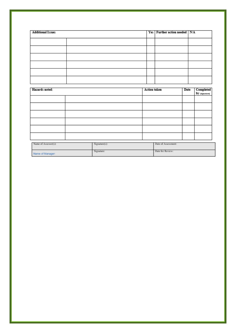| <b>Additional Issues</b> |  | Yes Further action needed   N/A |  |
|--------------------------|--|---------------------------------|--|
|                          |  |                                 |  |
|                          |  |                                 |  |
|                          |  |                                 |  |
|                          |  |                                 |  |
|                          |  |                                 |  |
|                          |  |                                 |  |

| Hazards noted: | <b>Action</b> taken | Date | Completed<br>by (signature) |
|----------------|---------------------|------|-----------------------------|
|                |                     |      |                             |
|                |                     |      |                             |
|                |                     |      |                             |
|                |                     |      |                             |
|                |                     |      |                             |
|                |                     |      |                             |
|                |                     |      |                             |

<span id="page-28-0"></span>

| Name of Assessor(s): | Signature(s): | Date of Assessment: |
|----------------------|---------------|---------------------|
| Name of Manager:     | Signature:    | Date for Review:    |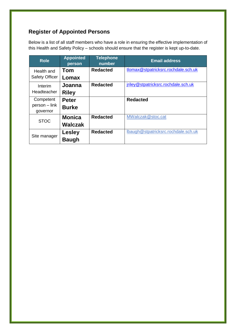# **Register of Appointed Persons**

Below is a list of all staff members who have a role in ensuring the effective implementation of this Health and Safety Policy – schools should ensure that the register is kept up-to-date.

<span id="page-29-0"></span>

| <b>Role</b>                            | <b>Appointed</b><br>person   | <b>Telephone</b><br>number | <b>Email address</b>                |
|----------------------------------------|------------------------------|----------------------------|-------------------------------------|
| Health and<br><b>Safety Officer</b>    | Tom<br>Lomax                 | <b>Redacted</b>            | tlomax@stpatricksrc.rochdale.sch.uk |
| Interim<br>Headteacher                 | Joanna<br><b>Riley</b>       | <b>Redacted</b>            | jriley@stpatricksrc.rochdale.sch.uk |
| Competent<br>person - link<br>governor | <b>Peter</b><br><b>Burke</b> |                            | <b>Redacted</b>                     |
| <b>STOC</b>                            | <b>Monica</b><br>Walczak     | <b>Redacted</b>            | MWalczak@stoc.cat                   |
| Site manager                           | Lesley<br><b>Baugh</b>       | <b>Redacted</b>            | Ibaugh@stpatricksrc.rochdale.sch.uk |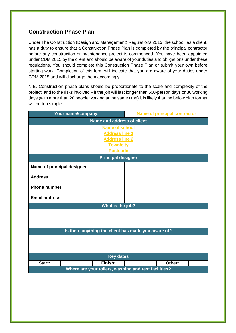# **Construction Phase Plan**

Under The Construction (Design and Management) Regulations 2015, the school, as a client, has a duty to ensure that a Construction Phase Plan is completed by the principal contractor before any construction or maintenance project is commenced. You have been appointed under CDM 2015 by the client and should be aware of your duties and obligations under these regulations. You should complete this Construction Phase Plan or submit your own before starting work. Completion of this form will indicate that you are aware of your duties under CDM 2015 and will discharge them accordingly.

N.B. Construction phase plans should be proportionate to the scale and complexity of the project, and to the risks involved – if the job will last longer than 500-person days or 30 working days (with more than 20 people working at the same time) it is likely that the below plan format will be too simple.

| Your name/company:                                   | <b>Name of principal contractor</b> |  |  |  |
|------------------------------------------------------|-------------------------------------|--|--|--|
| <b>Name and address of client</b>                    |                                     |  |  |  |
| <b>Name of school</b>                                |                                     |  |  |  |
| <b>Address line 1</b>                                |                                     |  |  |  |
| <b>Address line 2</b>                                |                                     |  |  |  |
| <b>Town/city</b>                                     |                                     |  |  |  |
| <b>Postcode</b>                                      |                                     |  |  |  |
| <b>Principal designer</b>                            |                                     |  |  |  |
| Name of principal designer                           |                                     |  |  |  |
| <b>Address</b>                                       |                                     |  |  |  |
| <b>Phone number</b>                                  |                                     |  |  |  |
| <b>Email address</b>                                 |                                     |  |  |  |
| What is the job?                                     |                                     |  |  |  |
|                                                      |                                     |  |  |  |
|                                                      |                                     |  |  |  |
|                                                      |                                     |  |  |  |
| Is there anything the client has made you aware of?  |                                     |  |  |  |
|                                                      |                                     |  |  |  |
|                                                      |                                     |  |  |  |
|                                                      |                                     |  |  |  |
| <b>Key dates</b>                                     |                                     |  |  |  |
| Start:<br>Finish:                                    | Other:                              |  |  |  |
| Where are your toilets, washing and rest facilities? |                                     |  |  |  |
|                                                      |                                     |  |  |  |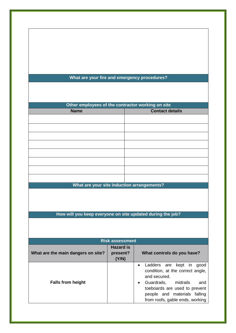#### **What are your fire and emergency procedures?**

| Other employees of the contractor working on site |                        |  |
|---------------------------------------------------|------------------------|--|
| <b>Name</b>                                       | <b>Contact details</b> |  |
|                                                   |                        |  |
|                                                   |                        |  |
|                                                   |                        |  |
|                                                   |                        |  |
|                                                   |                        |  |
|                                                   |                        |  |
|                                                   |                        |  |
|                                                   |                        |  |
| What are your site induction arrangements?        |                        |  |

**How will you keep everyone on site updated during the job?**

**Risk assessment What are the main dangers on site? Hazard is present? (Y/N) What controls do you have? Falls from height** Ladders are kept in good condition, at the correct angle, and secured. Guardrails, midrails and toeboards are used to prevent people and materials falling from roofs, gable ends, working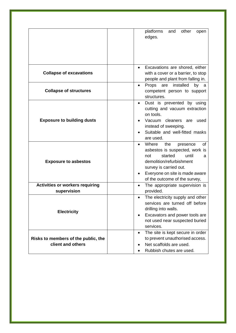|                                                       | platforms<br>other<br>and<br>open                                       |
|-------------------------------------------------------|-------------------------------------------------------------------------|
|                                                       | edges.                                                                  |
|                                                       |                                                                         |
|                                                       |                                                                         |
|                                                       |                                                                         |
|                                                       | Excavations are shored, either                                          |
| <b>Collapse of excavations</b>                        | with a cover or a barrier, to stop<br>people and plant from falling in. |
|                                                       | installed<br>Props are<br>by<br>а                                       |
| <b>Collapse of structures</b>                         | competent person to support                                             |
|                                                       | structures.                                                             |
|                                                       | Dust is prevented by using<br>cutting and vacuum extraction             |
|                                                       | on tools.                                                               |
| <b>Exposure to building dusts</b>                     | Vacuum<br>cleaners are<br>used                                          |
|                                                       | instead of sweeping.<br>Suitable and well-fitted masks                  |
|                                                       | are used.                                                               |
|                                                       | Where<br>the<br>presence<br>οf                                          |
|                                                       | asbestos is suspected, work is                                          |
| <b>Exposure to asbestos</b>                           | started<br>until<br>not<br>а<br>demolition/refurbishment                |
|                                                       | survey is carried out.                                                  |
|                                                       | Everyone on site is made aware                                          |
|                                                       | of the outcome of the survey,                                           |
| <b>Activities or workers requiring</b><br>supervision | The appropriate supervision is<br>provided.                             |
|                                                       | The electricity supply and other                                        |
|                                                       | services are turned off before                                          |
| <b>Electricity</b>                                    | drilling into walls.                                                    |
|                                                       | Excavators and power tools are<br>not used near suspected buried        |
|                                                       | services.                                                               |
|                                                       | The site is kept secure in order                                        |
| Risks to members of the public, the                   | to prevent unauthorised access.                                         |
| client and others                                     | Net scaffolds are used.<br>Rubbish chutes are used.                     |
|                                                       |                                                                         |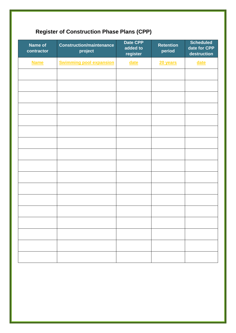# <span id="page-33-0"></span>**Register of Construction Phase Plans (CPP)**

| Name of<br>contractor | <b>Construction/maintenance</b><br>project | Date CPP<br>added to<br>register | <b>Retention</b><br>period | <b>Scheduled</b><br>date for CPP<br>destruction |
|-----------------------|--------------------------------------------|----------------------------------|----------------------------|-------------------------------------------------|
| <b>Name</b>           | <b>Swimming pool expansion</b>             | <u>date</u>                      | 20 years                   | <u>date</u>                                     |
|                       |                                            |                                  |                            |                                                 |
|                       |                                            |                                  |                            |                                                 |
|                       |                                            |                                  |                            |                                                 |
|                       |                                            |                                  |                            |                                                 |
|                       |                                            |                                  |                            |                                                 |
|                       |                                            |                                  |                            |                                                 |
|                       |                                            |                                  |                            |                                                 |
|                       |                                            |                                  |                            |                                                 |
|                       |                                            |                                  |                            |                                                 |
|                       |                                            |                                  |                            |                                                 |
|                       |                                            |                                  |                            |                                                 |
|                       |                                            |                                  |                            |                                                 |
|                       |                                            |                                  |                            |                                                 |
|                       |                                            |                                  |                            |                                                 |
|                       |                                            |                                  |                            |                                                 |
|                       |                                            |                                  |                            |                                                 |
|                       |                                            |                                  |                            |                                                 |